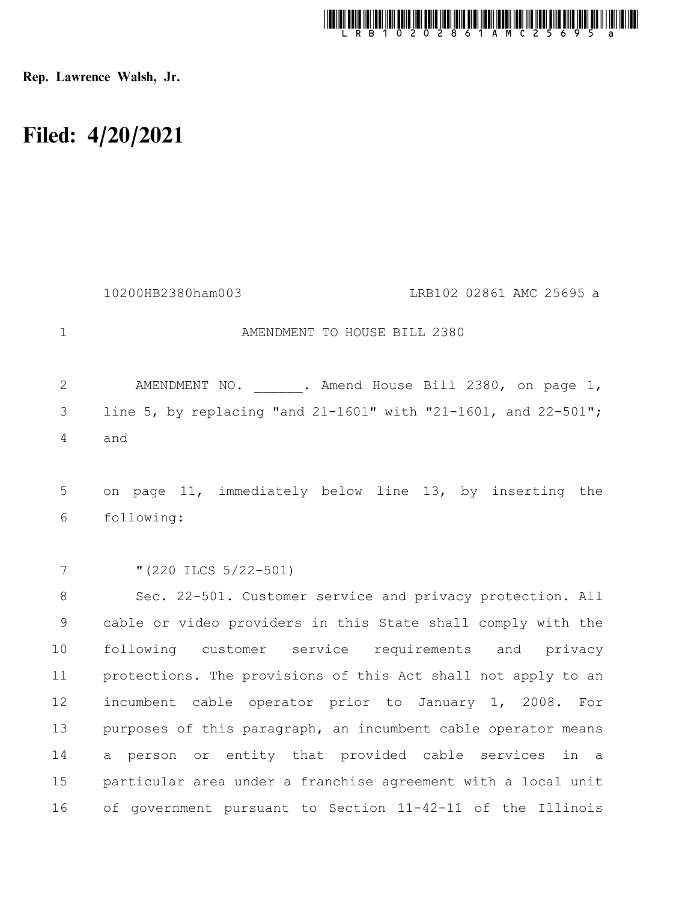

Rep. Lawrence Walsh, Jr.

## Filed: 4/20/2021

|                | 10200HB2380ham003<br>LRB102 02861 AMC 25695 a                  |
|----------------|----------------------------------------------------------------|
| $\mathbf{1}$   | AMENDMENT TO HOUSE BILL 2380                                   |
| $\overline{2}$ | AMENDMENT NO. . Amend House Bill 2380, on page 1,              |
| 3              | line 5, by replacing "and 21-1601" with "21-1601, and 22-501"; |
| $\overline{4}$ | and                                                            |
|                |                                                                |
| 5              | on page 11, immediately below line 13, by inserting the        |
| 6              | following:                                                     |
|                |                                                                |
| 7              | " $(220$ ILCS $5/22-501)$                                      |
| 8              | Sec. 22-501. Customer service and privacy protection. All      |
| $\mathcal{G}$  | cable or video providers in this State shall comply with the   |
| 10             | following customer service requirements and privacy            |
| 11             | protections. The provisions of this Act shall not apply to an  |
| 12             | incumbent cable operator prior to January 1, 2008. For         |
| 13             | purposes of this paragraph, an incumbent cable operator means  |
| 14             | person or entity that provided cable services in a<br>a        |
| 15             | particular area under a franchise agreement with a local unit  |
| 16             | of government pursuant to Section 11-42-11 of the Illinois     |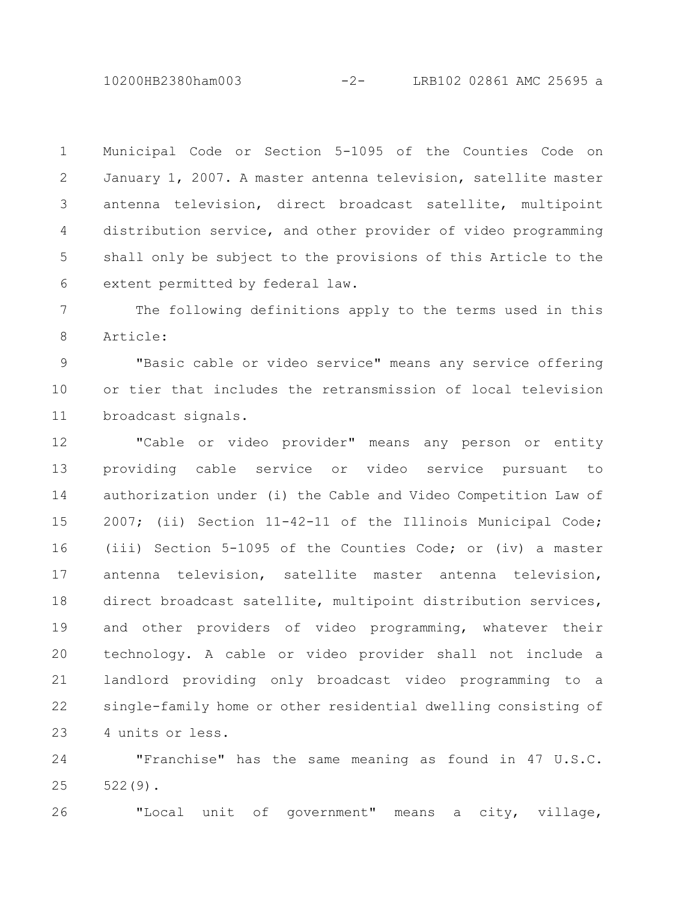10200HB2380ham003 -2- LRB102 02861 AMC 25695 a

Municipal Code or Section 5-1095 of the Counties Code on January 1, 2007. A master antenna television, satellite master antenna television, direct broadcast satellite, multipoint distribution service, and other provider of video programming shall only be subject to the provisions of this Article to the extent permitted by federal law. 1 2 3 4 5 6

The following definitions apply to the terms used in this Article: 7 8

"Basic cable or video service" means any service offering or tier that includes the retransmission of local television broadcast signals. 9 10 11

"Cable or video provider" means any person or entity providing cable service or video service pursuant to authorization under (i) the Cable and Video Competition Law of 2007; (ii) Section 11-42-11 of the Illinois Municipal Code; (iii) Section 5-1095 of the Counties Code; or (iv) a master antenna television, satellite master antenna television, direct broadcast satellite, multipoint distribution services, and other providers of video programming, whatever their technology. A cable or video provider shall not include a landlord providing only broadcast video programming to a single-family home or other residential dwelling consisting of 4 units or less. 12 13 14 15 16 17 18 19 20 21 22 23

"Franchise" has the same meaning as found in 47 U.S.C. 522(9). 24 25

"Local unit of government" means a city, village, 26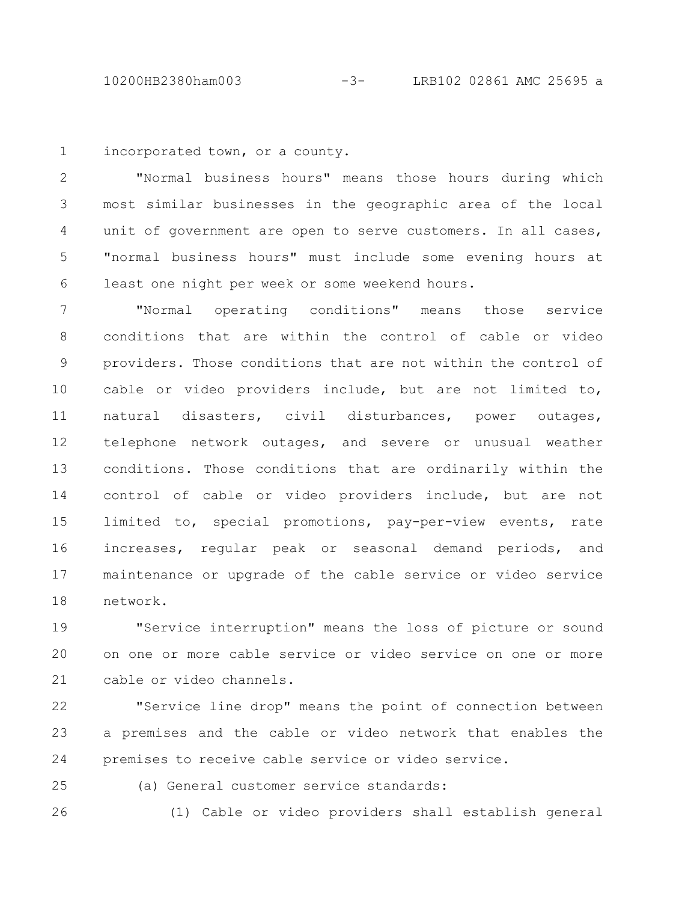10200HB2380ham003 -3- LRB102 02861 AMC 25695 a

incorporated town, or a county. 1

"Normal business hours" means those hours during which most similar businesses in the geographic area of the local unit of government are open to serve customers. In all cases, "normal business hours" must include some evening hours at least one night per week or some weekend hours. 2 3 4 5 6

"Normal operating conditions" means those service conditions that are within the control of cable or video providers. Those conditions that are not within the control of cable or video providers include, but are not limited to, natural disasters, civil disturbances, power outages, telephone network outages, and severe or unusual weather conditions. Those conditions that are ordinarily within the control of cable or video providers include, but are not limited to, special promotions, pay-per-view events, rate increases, regular peak or seasonal demand periods, and maintenance or upgrade of the cable service or video service network. 7 8 9 10 11 12 13 14 15 16 17 18

"Service interruption" means the loss of picture or sound on one or more cable service or video service on one or more cable or video channels. 19 20 21

"Service line drop" means the point of connection between a premises and the cable or video network that enables the premises to receive cable service or video service. 22 23 24

25 26 (a) General customer service standards:

(1) Cable or video providers shall establish general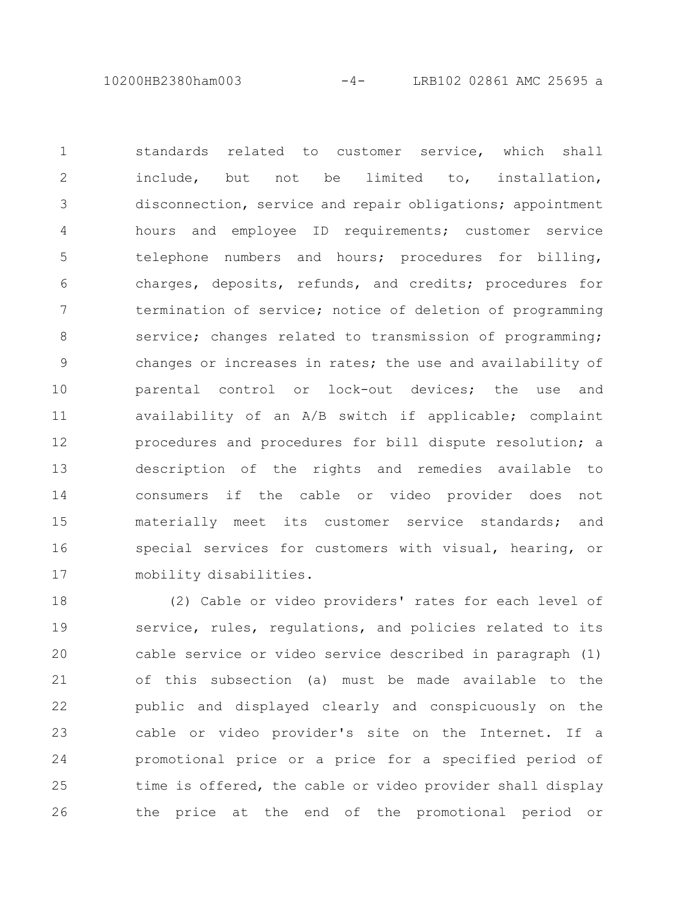10200HB2380ham003 -4- LRB102 02861 AMC 25695 a

standards related to customer service, which shall include, but not be limited to, installation, disconnection, service and repair obligations; appointment hours and employee ID requirements; customer service telephone numbers and hours; procedures for billing, charges, deposits, refunds, and credits; procedures for termination of service; notice of deletion of programming service; changes related to transmission of programming; changes or increases in rates; the use and availability of parental control or lock-out devices; the use and availability of an A/B switch if applicable; complaint procedures and procedures for bill dispute resolution; a description of the rights and remedies available to consumers if the cable or video provider does not materially meet its customer service standards; and special services for customers with visual, hearing, or mobility disabilities. 1 2 3 4 5 6 7 8 9 10 11 12 13 14 15 16 17

(2) Cable or video providers' rates for each level of service, rules, regulations, and policies related to its cable service or video service described in paragraph (1) of this subsection (a) must be made available to the public and displayed clearly and conspicuously on the cable or video provider's site on the Internet. If a promotional price or a price for a specified period of time is offered, the cable or video provider shall display the price at the end of the promotional period or 18 19 20 21 22 23 24 25 26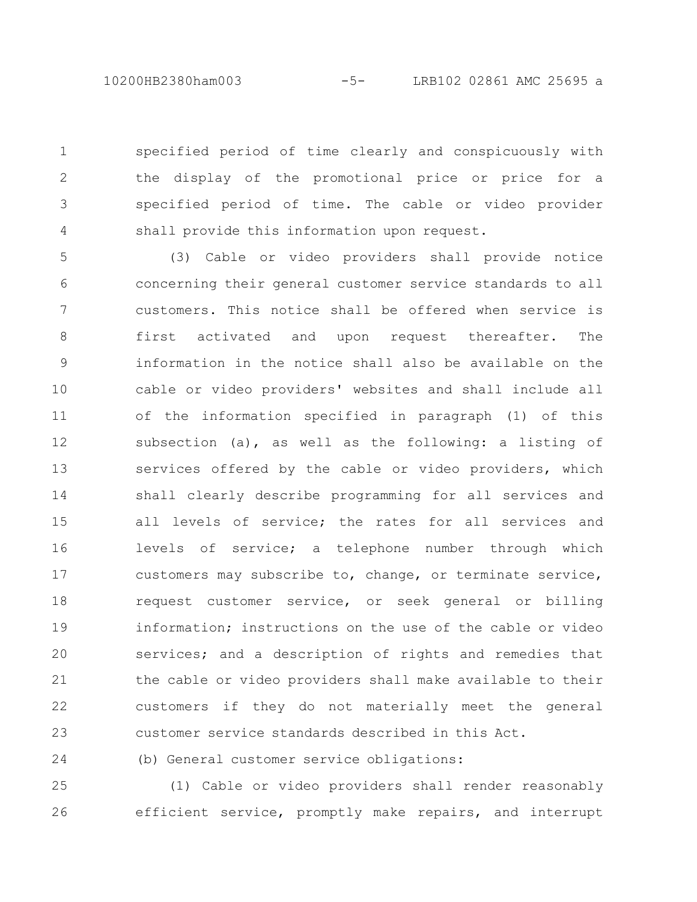10200HB2380ham003 -5- LRB102 02861 AMC 25695 a

specified period of time clearly and conspicuously with the display of the promotional price or price for a specified period of time. The cable or video provider shall provide this information upon request. 1 2 3 4

(3) Cable or video providers shall provide notice concerning their general customer service standards to all customers. This notice shall be offered when service is first activated and upon request thereafter. The information in the notice shall also be available on the cable or video providers' websites and shall include all of the information specified in paragraph (1) of this subsection (a), as well as the following: a listing of services offered by the cable or video providers, which shall clearly describe programming for all services and all levels of service; the rates for all services and levels of service; a telephone number through which customers may subscribe to, change, or terminate service, request customer service, or seek general or billing information; instructions on the use of the cable or video services; and a description of rights and remedies that the cable or video providers shall make available to their customers if they do not materially meet the general customer service standards described in this Act. 5 6 7 8 9 10 11 12 13 14 15 16 17 18 19 20 21 22 23

(b) General customer service obligations:

24

(1) Cable or video providers shall render reasonably efficient service, promptly make repairs, and interrupt 25 26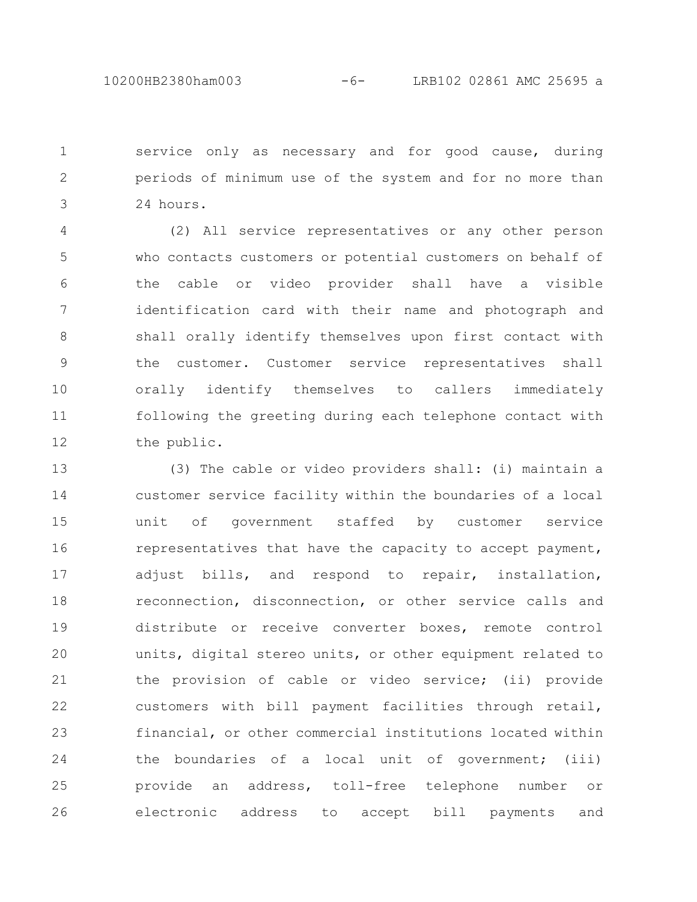service only as necessary and for good cause, during periods of minimum use of the system and for no more than 24 hours. 1 2 3

(2) All service representatives or any other person who contacts customers or potential customers on behalf of the cable or video provider shall have a visible identification card with their name and photograph and shall orally identify themselves upon first contact with the customer. Customer service representatives shall orally identify themselves to callers immediately following the greeting during each telephone contact with the public. 4 5 6 7 8 9 10 11 12

(3) The cable or video providers shall: (i) maintain a customer service facility within the boundaries of a local unit of government staffed by customer service representatives that have the capacity to accept payment, adjust bills, and respond to repair, installation, reconnection, disconnection, or other service calls and distribute or receive converter boxes, remote control units, digital stereo units, or other equipment related to the provision of cable or video service; (ii) provide customers with bill payment facilities through retail, financial, or other commercial institutions located within the boundaries of a local unit of government; (iii) provide an address, toll-free telephone number or electronic address to accept bill payments and 13 14 15 16 17 18 19 20 21 22 23 24 25 26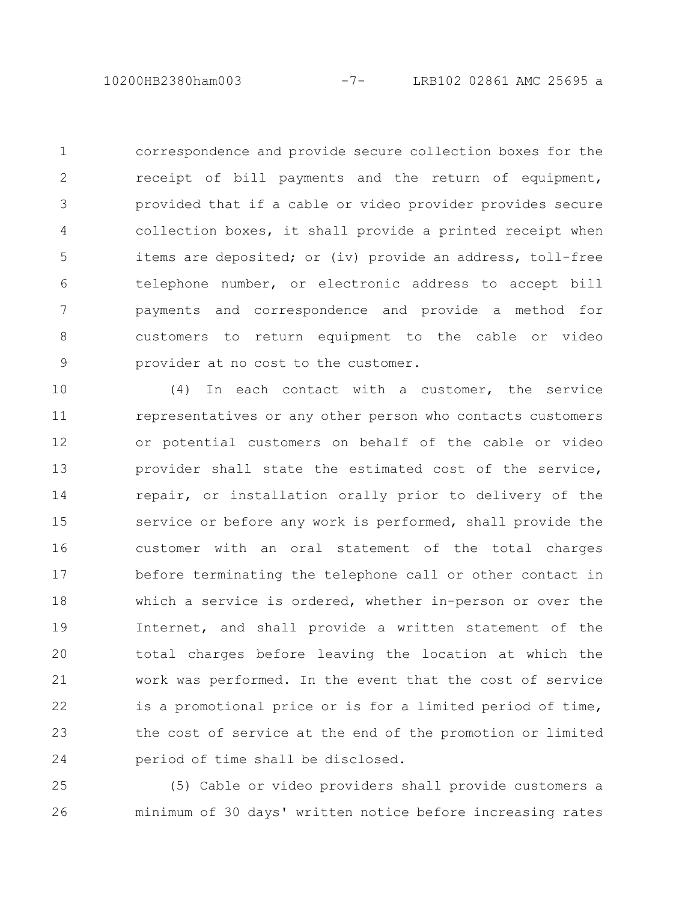correspondence and provide secure collection boxes for the receipt of bill payments and the return of equipment, provided that if a cable or video provider provides secure collection boxes, it shall provide a printed receipt when items are deposited; or (iv) provide an address, toll-free telephone number, or electronic address to accept bill payments and correspondence and provide a method for customers to return equipment to the cable or video provider at no cost to the customer. 1 2 3 4 5 6 7 8 9

(4) In each contact with a customer, the service representatives or any other person who contacts customers or potential customers on behalf of the cable or video provider shall state the estimated cost of the service, repair, or installation orally prior to delivery of the service or before any work is performed, shall provide the customer with an oral statement of the total charges before terminating the telephone call or other contact in which a service is ordered, whether in-person or over the Internet, and shall provide a written statement of the total charges before leaving the location at which the work was performed. In the event that the cost of service is a promotional price or is for a limited period of time, the cost of service at the end of the promotion or limited period of time shall be disclosed. 10 11 12 13 14 15 16 17 18 19 20 21 22 23 24

(5) Cable or video providers shall provide customers a minimum of 30 days' written notice before increasing rates 25 26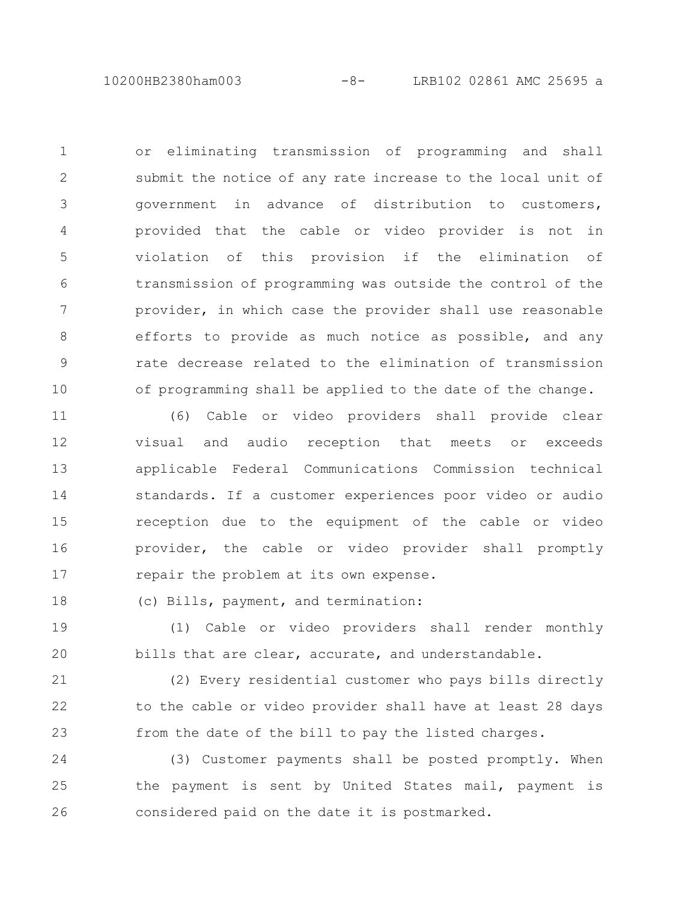10200HB2380ham003 -8- LRB102 02861 AMC 25695 a

or eliminating transmission of programming and shall submit the notice of any rate increase to the local unit of government in advance of distribution to customers, provided that the cable or video provider is not in violation of this provision if the elimination of transmission of programming was outside the control of the provider, in which case the provider shall use reasonable efforts to provide as much notice as possible, and any rate decrease related to the elimination of transmission of programming shall be applied to the date of the change. 1 2 3 4 5 6 7 8 9 10

(6) Cable or video providers shall provide clear visual and audio reception that meets or exceeds applicable Federal Communications Commission technical standards. If a customer experiences poor video or audio reception due to the equipment of the cable or video provider, the cable or video provider shall promptly repair the problem at its own expense. 11 12 13 14 15 16 17

(c) Bills, payment, and termination: 18

(1) Cable or video providers shall render monthly bills that are clear, accurate, and understandable. 19 20

(2) Every residential customer who pays bills directly to the cable or video provider shall have at least 28 days from the date of the bill to pay the listed charges. 21 22 23

(3) Customer payments shall be posted promptly. When the payment is sent by United States mail, payment is considered paid on the date it is postmarked. 24 25 26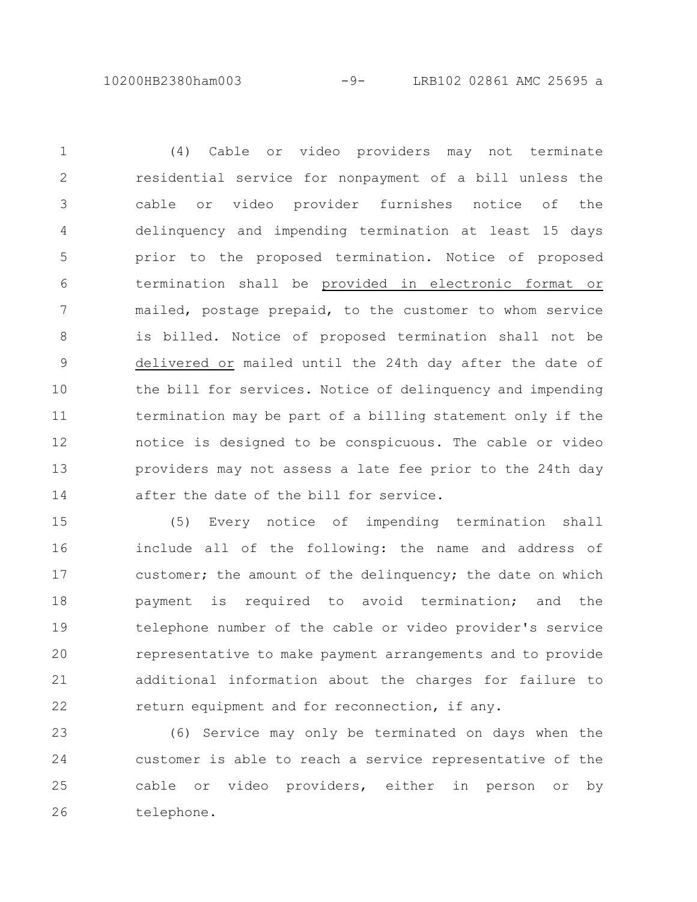10200HB2380ham003 -9- LRB102 02861 AMC 25695 a

(4) Cable or video providers may not terminate residential service for nonpayment of a bill unless the cable or video provider furnishes notice of the delinquency and impending termination at least 15 days prior to the proposed termination. Notice of proposed termination shall be provided in electronic format or mailed, postage prepaid, to the customer to whom service is billed. Notice of proposed termination shall not be delivered or mailed until the 24th day after the date of the bill for services. Notice of delinquency and impending termination may be part of a billing statement only if the notice is designed to be conspicuous. The cable or video providers may not assess a late fee prior to the 24th day after the date of the bill for service. 1 2 3 4 5 6 7 8 9 10 11 12 13 14

(5) Every notice of impending termination shall include all of the following: the name and address of customer; the amount of the delinquency; the date on which payment is required to avoid termination; and the telephone number of the cable or video provider's service representative to make payment arrangements and to provide additional information about the charges for failure to return equipment and for reconnection, if any. 15 16 17 18 19 20 21 22

(6) Service may only be terminated on days when the customer is able to reach a service representative of the cable or video providers, either in person or by telephone. 23 24 25 26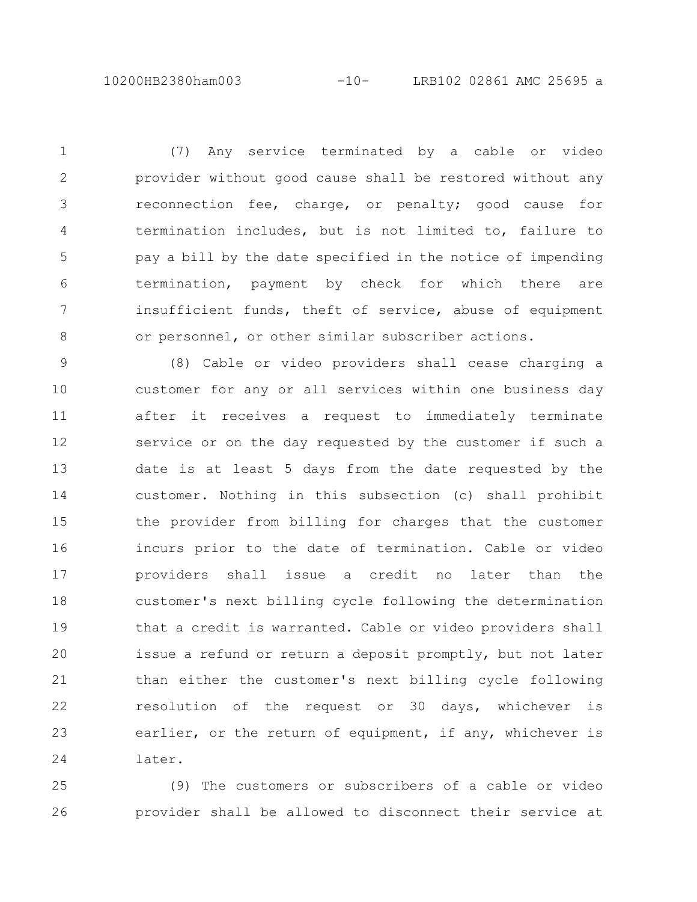(7) Any service terminated by a cable or video provider without good cause shall be restored without any reconnection fee, charge, or penalty; good cause for termination includes, but is not limited to, failure to pay a bill by the date specified in the notice of impending termination, payment by check for which there are insufficient funds, theft of service, abuse of equipment or personnel, or other similar subscriber actions. 1 2 3 4 5 6 7 8

(8) Cable or video providers shall cease charging a customer for any or all services within one business day after it receives a request to immediately terminate service or on the day requested by the customer if such a date is at least 5 days from the date requested by the customer. Nothing in this subsection (c) shall prohibit the provider from billing for charges that the customer incurs prior to the date of termination. Cable or video providers shall issue a credit no later than the customer's next billing cycle following the determination that a credit is warranted. Cable or video providers shall issue a refund or return a deposit promptly, but not later than either the customer's next billing cycle following resolution of the request or 30 days, whichever is earlier, or the return of equipment, if any, whichever is later. 9 10 11 12 13 14 15 16 17 18 19 20 21 22 23 24

(9) The customers or subscribers of a cable or video provider shall be allowed to disconnect their service at 25 26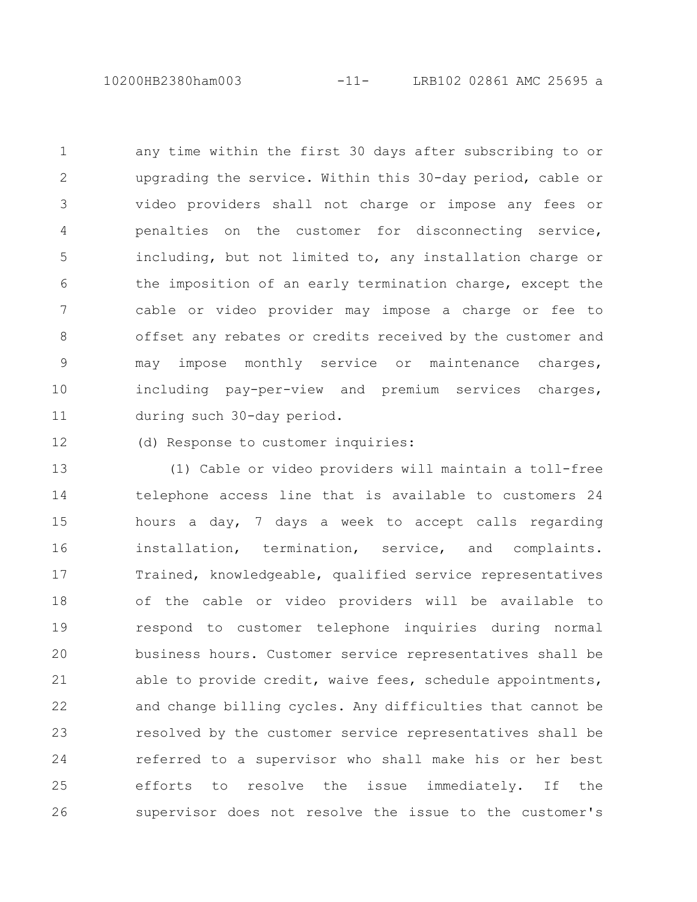10200HB2380ham003 -11- LRB102 02861 AMC 25695 a

any time within the first 30 days after subscribing to or upgrading the service. Within this 30-day period, cable or video providers shall not charge or impose any fees or penalties on the customer for disconnecting service, including, but not limited to, any installation charge or the imposition of an early termination charge, except the cable or video provider may impose a charge or fee to offset any rebates or credits received by the customer and may impose monthly service or maintenance charges, including pay-per-view and premium services charges, during such 30-day period. 1 2 3 4 5 6 7 8 9 10 11

(d) Response to customer inquiries: 12

(1) Cable or video providers will maintain a toll-free telephone access line that is available to customers 24 hours a day, 7 days a week to accept calls regarding installation, termination, service, and complaints. Trained, knowledgeable, qualified service representatives of the cable or video providers will be available to respond to customer telephone inquiries during normal business hours. Customer service representatives shall be able to provide credit, waive fees, schedule appointments, and change billing cycles. Any difficulties that cannot be resolved by the customer service representatives shall be referred to a supervisor who shall make his or her best efforts to resolve the issue immediately. If the supervisor does not resolve the issue to the customer's 13 14 15 16 17 18 19 20 21 22 23 24 25 26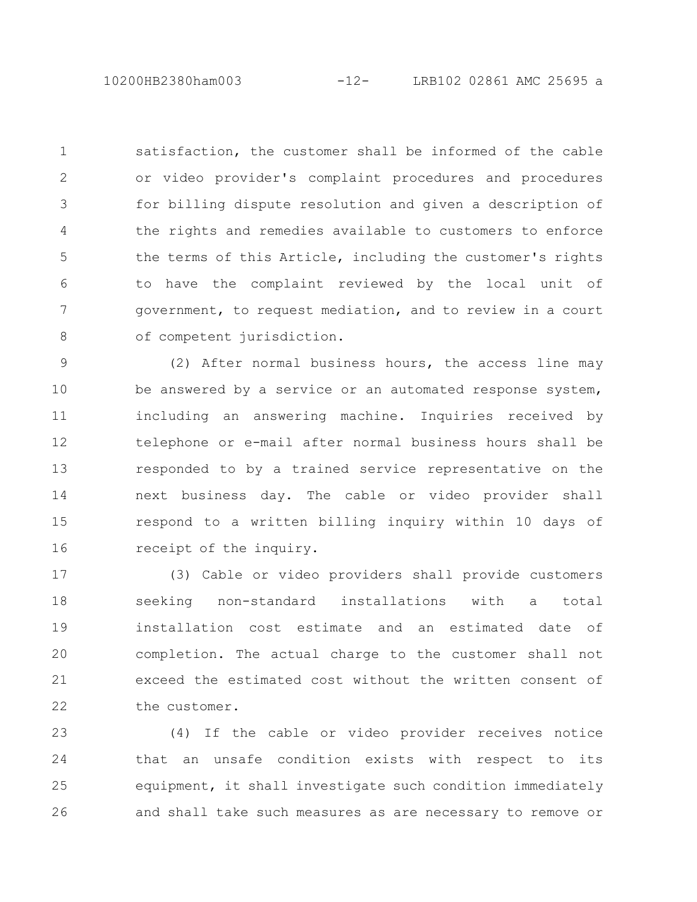10200HB2380ham003 -12- LRB102 02861 AMC 25695 a

satisfaction, the customer shall be informed of the cable or video provider's complaint procedures and procedures for billing dispute resolution and given a description of the rights and remedies available to customers to enforce the terms of this Article, including the customer's rights to have the complaint reviewed by the local unit of government, to request mediation, and to review in a court of competent jurisdiction. 1 2 3 4 5 6 7 8

(2) After normal business hours, the access line may be answered by a service or an automated response system, including an answering machine. Inquiries received by telephone or e-mail after normal business hours shall be responded to by a trained service representative on the next business day. The cable or video provider shall respond to a written billing inquiry within 10 days of receipt of the inquiry. 9 10 11 12 13 14 15 16

(3) Cable or video providers shall provide customers seeking non-standard installations with a total installation cost estimate and an estimated date of completion. The actual charge to the customer shall not exceed the estimated cost without the written consent of the customer. 17 18 19 20 21 22

(4) If the cable or video provider receives notice that an unsafe condition exists with respect to its equipment, it shall investigate such condition immediately and shall take such measures as are necessary to remove or 23 24 25 26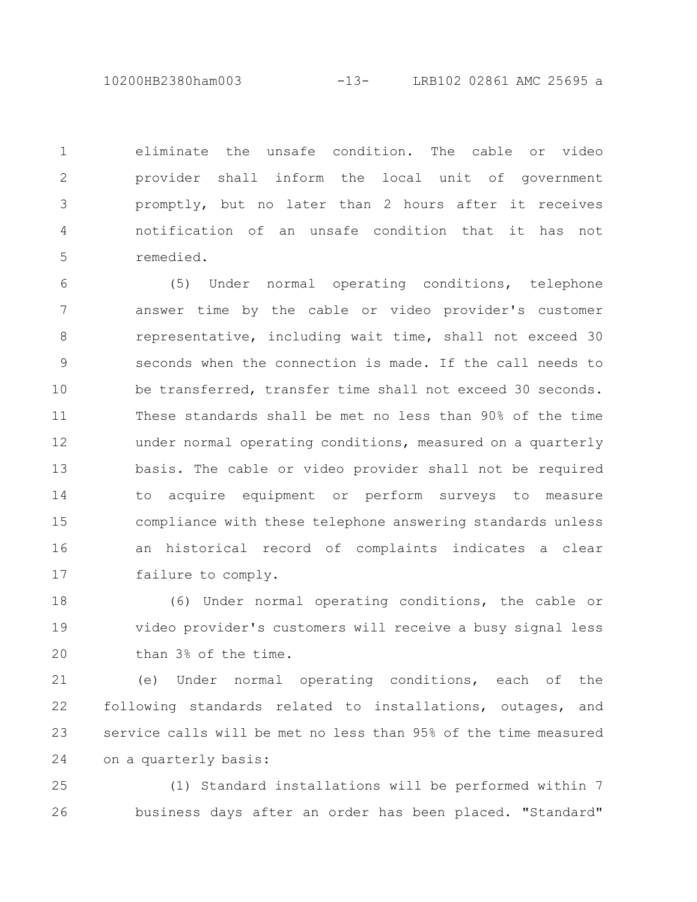10200HB2380ham003 -13- LRB102 02861 AMC 25695 a

eliminate the unsafe condition. The cable or video provider shall inform the local unit of government promptly, but no later than 2 hours after it receives notification of an unsafe condition that it has not remedied. 1 2 3 4 5

(5) Under normal operating conditions, telephone answer time by the cable or video provider's customer representative, including wait time, shall not exceed 30 seconds when the connection is made. If the call needs to be transferred, transfer time shall not exceed 30 seconds. These standards shall be met no less than 90% of the time under normal operating conditions, measured on a quarterly basis. The cable or video provider shall not be required to acquire equipment or perform surveys to measure compliance with these telephone answering standards unless an historical record of complaints indicates a clear failure to comply. 6 7 8 9 10 11 12 13 14 15 16 17

(6) Under normal operating conditions, the cable or video provider's customers will receive a busy signal less than 3% of the time. 18 19 20

(e) Under normal operating conditions, each of the following standards related to installations, outages, and service calls will be met no less than 95% of the time measured on a quarterly basis: 21 22 23 24

(1) Standard installations will be performed within 7 business days after an order has been placed. "Standard" 25 26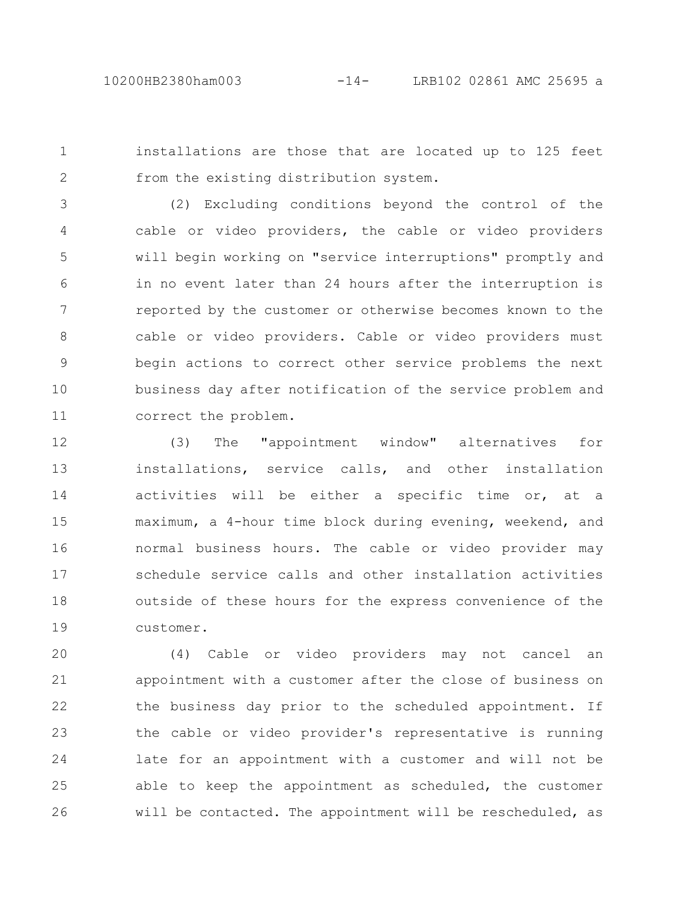installations are those that are located up to 125 feet from the existing distribution system. 1 2

(2) Excluding conditions beyond the control of the cable or video providers, the cable or video providers will begin working on "service interruptions" promptly and in no event later than 24 hours after the interruption is reported by the customer or otherwise becomes known to the cable or video providers. Cable or video providers must begin actions to correct other service problems the next business day after notification of the service problem and correct the problem. 3 4 5 6 7 8 9 10 11

(3) The "appointment window" alternatives for installations, service calls, and other installation activities will be either a specific time or, at a maximum, a 4-hour time block during evening, weekend, and normal business hours. The cable or video provider may schedule service calls and other installation activities outside of these hours for the express convenience of the customer. 12 13 14 15 16 17 18 19

(4) Cable or video providers may not cancel an appointment with a customer after the close of business on the business day prior to the scheduled appointment. If the cable or video provider's representative is running late for an appointment with a customer and will not be able to keep the appointment as scheduled, the customer will be contacted. The appointment will be rescheduled, as 20 21 22 23 24 25 26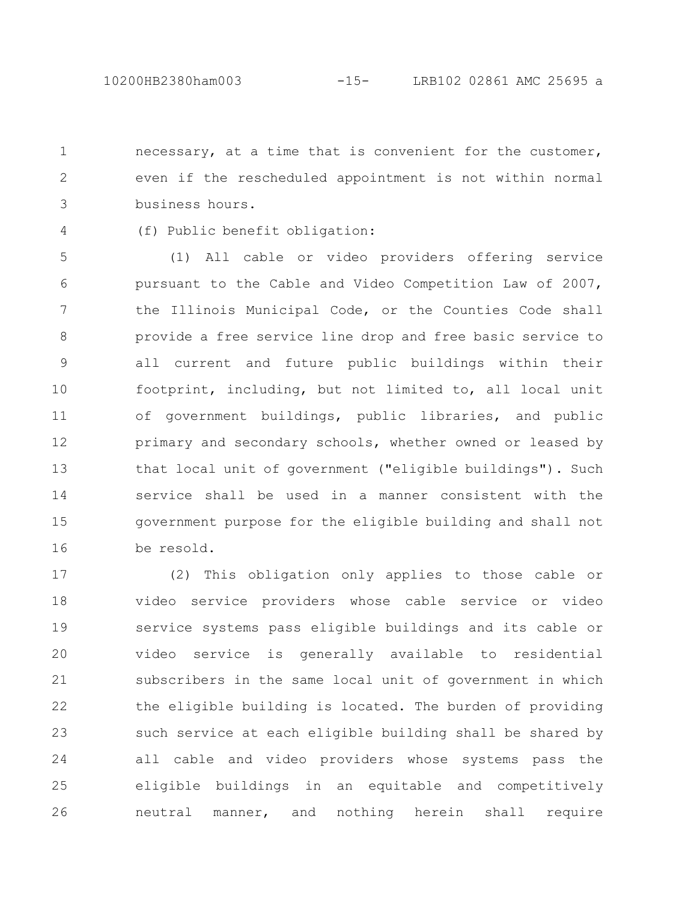necessary, at a time that is convenient for the customer, even if the rescheduled appointment is not within normal business hours. 1 2 3

4

(f) Public benefit obligation:

(1) All cable or video providers offering service pursuant to the Cable and Video Competition Law of 2007, the Illinois Municipal Code, or the Counties Code shall provide a free service line drop and free basic service to all current and future public buildings within their footprint, including, but not limited to, all local unit of government buildings, public libraries, and public primary and secondary schools, whether owned or leased by that local unit of government ("eligible buildings"). Such service shall be used in a manner consistent with the government purpose for the eligible building and shall not be resold. 5 6 7 8 9 10 11 12 13 14 15 16

(2) This obligation only applies to those cable or video service providers whose cable service or video service systems pass eligible buildings and its cable or video service is generally available to residential subscribers in the same local unit of government in which the eligible building is located. The burden of providing such service at each eligible building shall be shared by all cable and video providers whose systems pass the eligible buildings in an equitable and competitively neutral manner, and nothing herein shall require 17 18 19 20 21 22 23 24 25 26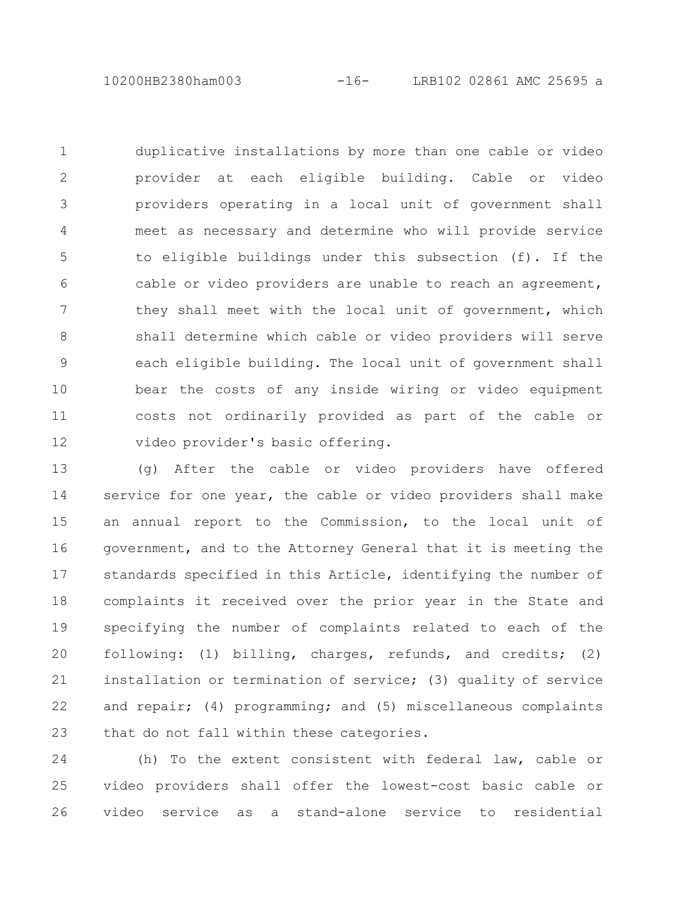10200HB2380ham003 -16- LRB102 02861 AMC 25695 a

duplicative installations by more than one cable or video provider at each eligible building. Cable or video providers operating in a local unit of government shall meet as necessary and determine who will provide service to eligible buildings under this subsection (f). If the cable or video providers are unable to reach an agreement, they shall meet with the local unit of government, which shall determine which cable or video providers will serve each eligible building. The local unit of government shall bear the costs of any inside wiring or video equipment costs not ordinarily provided as part of the cable or video provider's basic offering. 1 2 3 4 5 6 7 8 9 10 11 12

(g) After the cable or video providers have offered service for one year, the cable or video providers shall make an annual report to the Commission, to the local unit of government, and to the Attorney General that it is meeting the standards specified in this Article, identifying the number of complaints it received over the prior year in the State and specifying the number of complaints related to each of the following: (1) billing, charges, refunds, and credits; (2) installation or termination of service; (3) quality of service and repair; (4) programming; and (5) miscellaneous complaints that do not fall within these categories. 13 14 15 16 17 18 19 20 21 22 23

(h) To the extent consistent with federal law, cable or video providers shall offer the lowest-cost basic cable or video service as a stand-alone service to residential 24 25 26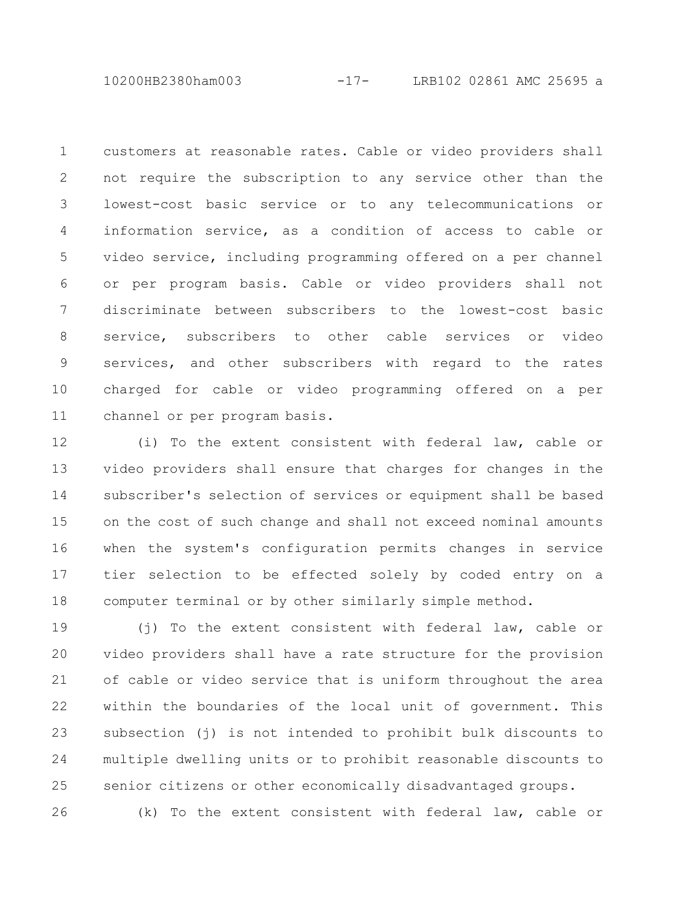10200HB2380ham003 -17- LRB102 02861 AMC 25695 a

customers at reasonable rates. Cable or video providers shall not require the subscription to any service other than the lowest-cost basic service or to any telecommunications or information service, as a condition of access to cable or video service, including programming offered on a per channel or per program basis. Cable or video providers shall not discriminate between subscribers to the lowest-cost basic service, subscribers to other cable services or video services, and other subscribers with regard to the rates charged for cable or video programming offered on a per channel or per program basis. 1 2 3 4 5 6 7 8 9 10 11

(i) To the extent consistent with federal law, cable or video providers shall ensure that charges for changes in the subscriber's selection of services or equipment shall be based on the cost of such change and shall not exceed nominal amounts when the system's configuration permits changes in service tier selection to be effected solely by coded entry on a computer terminal or by other similarly simple method. 12 13 14 15 16 17 18

(i) To the extent consistent with federal law, cable or video providers shall have a rate structure for the provision of cable or video service that is uniform throughout the area within the boundaries of the local unit of government. This subsection (j) is not intended to prohibit bulk discounts to multiple dwelling units or to prohibit reasonable discounts to senior citizens or other economically disadvantaged groups. 19 20 21 22 23 24 25

(k) To the extent consistent with federal law, cable or 26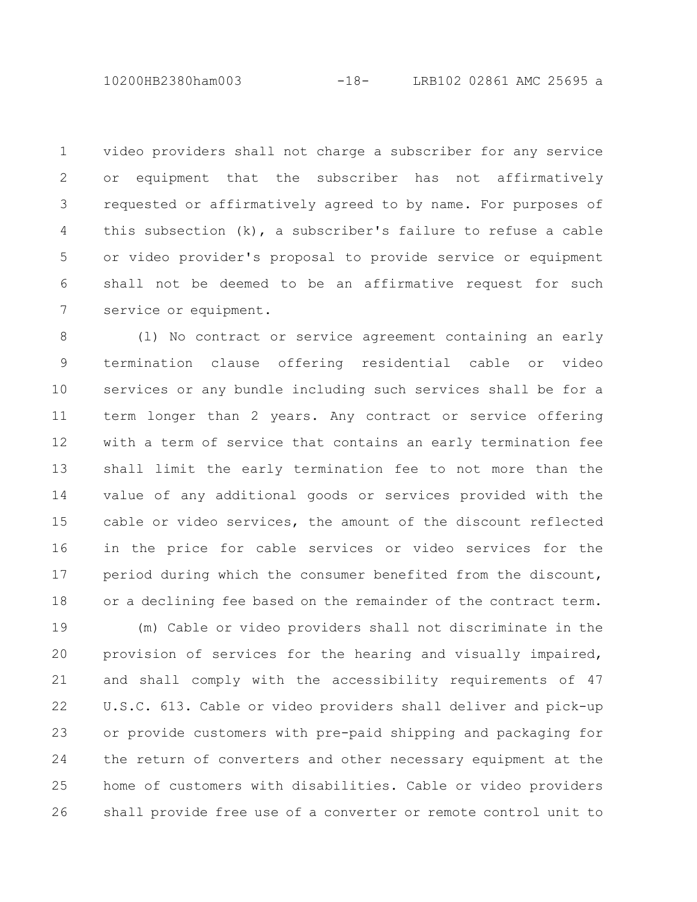10200HB2380ham003 -18- LRB102 02861 AMC 25695 a

video providers shall not charge a subscriber for any service or equipment that the subscriber has not affirmatively requested or affirmatively agreed to by name. For purposes of this subsection (k), a subscriber's failure to refuse a cable or video provider's proposal to provide service or equipment shall not be deemed to be an affirmative request for such service or equipment. 1 2 3 4 5 6 7

(l) No contract or service agreement containing an early termination clause offering residential cable or video services or any bundle including such services shall be for a term longer than 2 years. Any contract or service offering with a term of service that contains an early termination fee shall limit the early termination fee to not more than the value of any additional goods or services provided with the cable or video services, the amount of the discount reflected in the price for cable services or video services for the period during which the consumer benefited from the discount, or a declining fee based on the remainder of the contract term. 8 9 10 11 12 13 14 15 16 17 18

(m) Cable or video providers shall not discriminate in the provision of services for the hearing and visually impaired, and shall comply with the accessibility requirements of 47 U.S.C. 613. Cable or video providers shall deliver and pick-up or provide customers with pre-paid shipping and packaging for the return of converters and other necessary equipment at the home of customers with disabilities. Cable or video providers shall provide free use of a converter or remote control unit to 19 20 21 22 23 24 25 26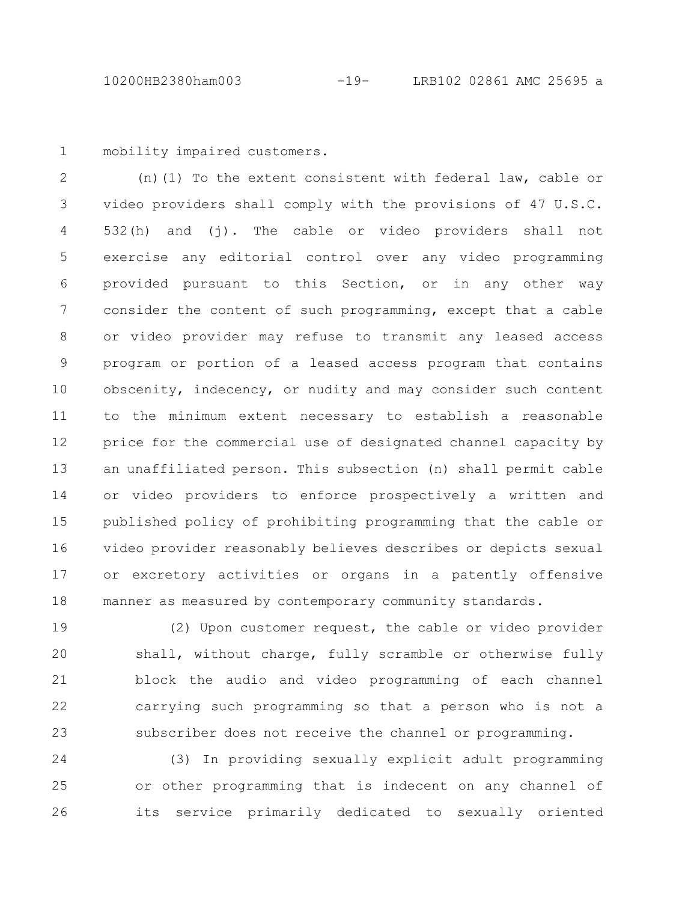mobility impaired customers. 1

(n)(1) To the extent consistent with federal law, cable or video providers shall comply with the provisions of 47 U.S.C. 532(h) and (j). The cable or video providers shall not exercise any editorial control over any video programming provided pursuant to this Section, or in any other way consider the content of such programming, except that a cable or video provider may refuse to transmit any leased access program or portion of a leased access program that contains obscenity, indecency, or nudity and may consider such content to the minimum extent necessary to establish a reasonable price for the commercial use of designated channel capacity by an unaffiliated person. This subsection (n) shall permit cable or video providers to enforce prospectively a written and published policy of prohibiting programming that the cable or video provider reasonably believes describes or depicts sexual or excretory activities or organs in a patently offensive manner as measured by contemporary community standards. 2 3 4 5 6 7 8 9 10 11 12 13 14 15 16 17 18

(2) Upon customer request, the cable or video provider shall, without charge, fully scramble or otherwise fully block the audio and video programming of each channel carrying such programming so that a person who is not a subscriber does not receive the channel or programming. 19 20 21 22 23

(3) In providing sexually explicit adult programming or other programming that is indecent on any channel of its service primarily dedicated to sexually oriented 24 25 26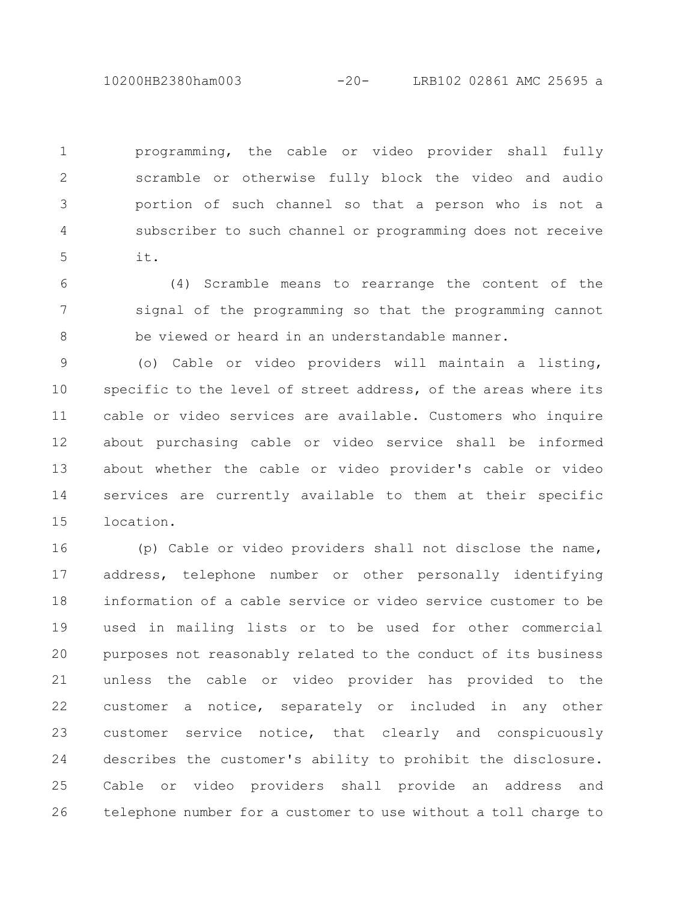10200HB2380ham003 -20- LRB102 02861 AMC 25695 a

programming, the cable or video provider shall fully scramble or otherwise fully block the video and audio portion of such channel so that a person who is not a subscriber to such channel or programming does not receive it. 1 2 3 4 5

(4) Scramble means to rearrange the content of the signal of the programming so that the programming cannot be viewed or heard in an understandable manner. 6 7 8

(o) Cable or video providers will maintain a listing, specific to the level of street address, of the areas where its cable or video services are available. Customers who inquire about purchasing cable or video service shall be informed about whether the cable or video provider's cable or video services are currently available to them at their specific location. 9 10 11 12 13 14 15

(p) Cable or video providers shall not disclose the name, address, telephone number or other personally identifying information of a cable service or video service customer to be used in mailing lists or to be used for other commercial purposes not reasonably related to the conduct of its business unless the cable or video provider has provided to the customer a notice, separately or included in any other customer service notice, that clearly and conspicuously describes the customer's ability to prohibit the disclosure. Cable or video providers shall provide an address and telephone number for a customer to use without a toll charge to 16 17 18 19 20 21 22 23 24 25 26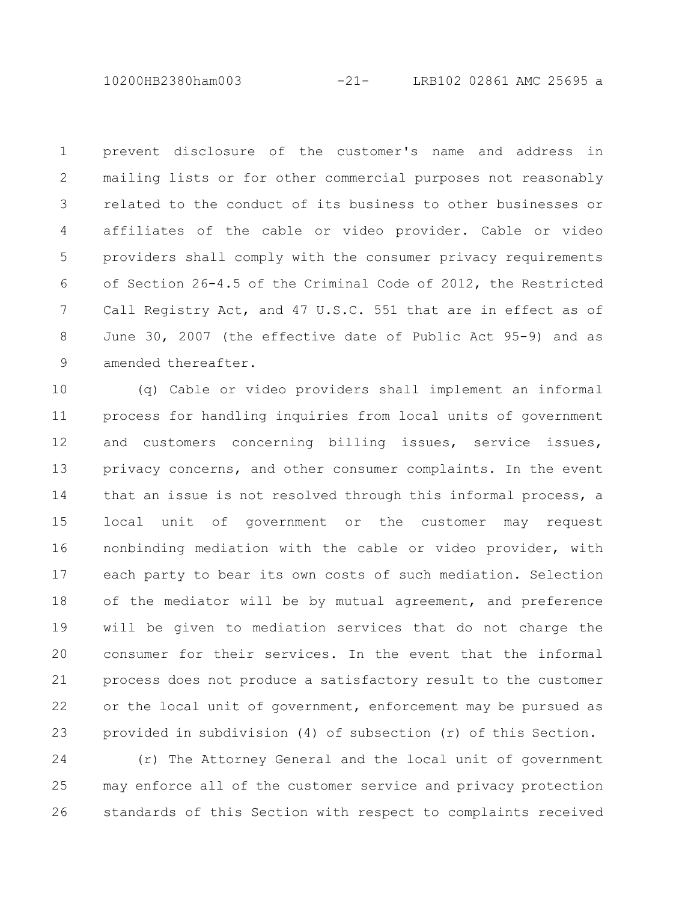10200HB2380ham003 -21- LRB102 02861 AMC 25695 a

prevent disclosure of the customer's name and address in mailing lists or for other commercial purposes not reasonably related to the conduct of its business to other businesses or affiliates of the cable or video provider. Cable or video providers shall comply with the consumer privacy requirements of Section 26-4.5 of the Criminal Code of 2012, the Restricted Call Registry Act, and 47 U.S.C. 551 that are in effect as of June 30, 2007 (the effective date of Public Act 95-9) and as amended thereafter. 1 2 3 4 5 6 7 8 9

(q) Cable or video providers shall implement an informal process for handling inquiries from local units of government and customers concerning billing issues, service issues, privacy concerns, and other consumer complaints. In the event that an issue is not resolved through this informal process, a local unit of government or the customer may request nonbinding mediation with the cable or video provider, with each party to bear its own costs of such mediation. Selection of the mediator will be by mutual agreement, and preference will be given to mediation services that do not charge the consumer for their services. In the event that the informal process does not produce a satisfactory result to the customer or the local unit of government, enforcement may be pursued as provided in subdivision (4) of subsection (r) of this Section. 10 11 12 13 14 15 16 17 18 19 20 21 22 23

(r) The Attorney General and the local unit of government may enforce all of the customer service and privacy protection standards of this Section with respect to complaints received 24 25 26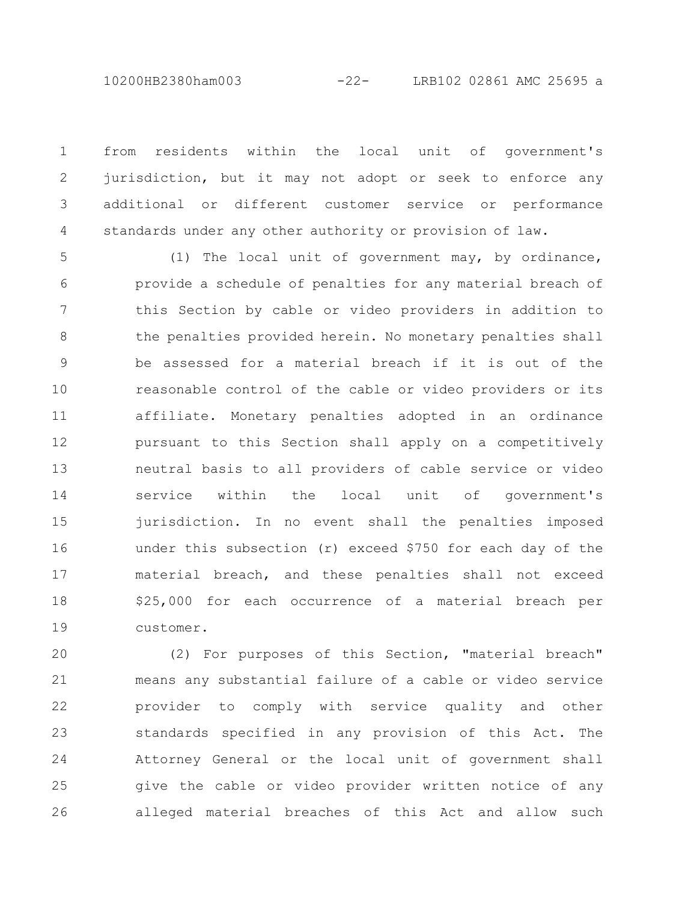10200HB2380ham003 -22- LRB102 02861 AMC 25695 a

from residents within the local unit of government's jurisdiction, but it may not adopt or seek to enforce any additional or different customer service or performance standards under any other authority or provision of law. 1 2 3 4

(1) The local unit of government may, by ordinance, provide a schedule of penalties for any material breach of this Section by cable or video providers in addition to the penalties provided herein. No monetary penalties shall be assessed for a material breach if it is out of the reasonable control of the cable or video providers or its affiliate. Monetary penalties adopted in an ordinance pursuant to this Section shall apply on a competitively neutral basis to all providers of cable service or video service within the local unit of government's jurisdiction. In no event shall the penalties imposed under this subsection (r) exceed \$750 for each day of the material breach, and these penalties shall not exceed \$25,000 for each occurrence of a material breach per customer. 5 6 7 8 9 10 11 12 13 14 15 16 17 18 19

(2) For purposes of this Section, "material breach" means any substantial failure of a cable or video service provider to comply with service quality and other standards specified in any provision of this Act. The Attorney General or the local unit of government shall give the cable or video provider written notice of any alleged material breaches of this Act and allow such 20 21 22 23 24 25 26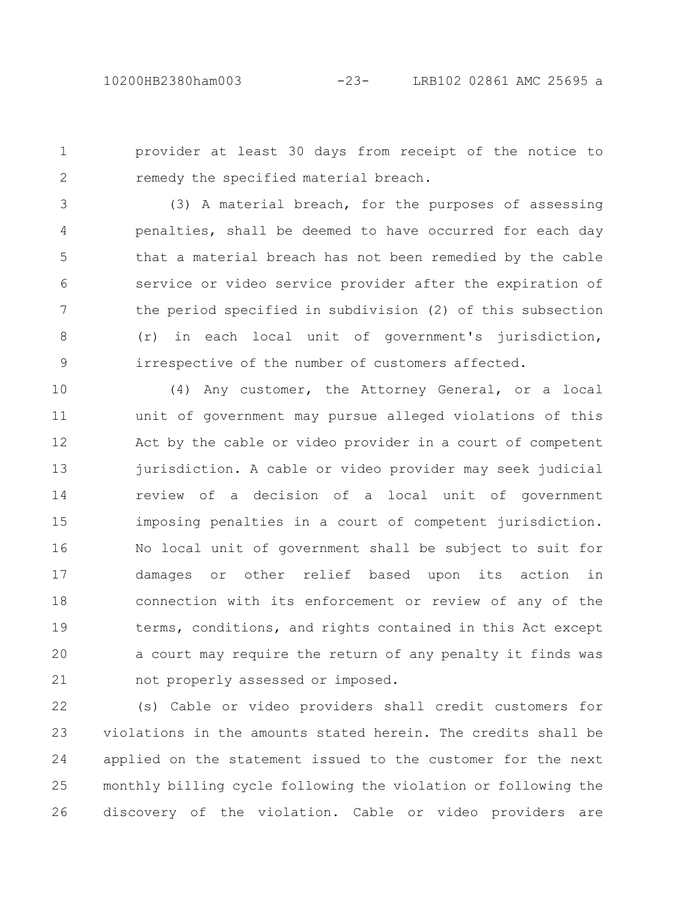provider at least 30 days from receipt of the notice to remedy the specified material breach. 1 2

(3) A material breach, for the purposes of assessing penalties, shall be deemed to have occurred for each day that a material breach has not been remedied by the cable service or video service provider after the expiration of the period specified in subdivision (2) of this subsection (r) in each local unit of government's jurisdiction, irrespective of the number of customers affected. 3 4 5 6 7 8 9

(4) Any customer, the Attorney General, or a local unit of government may pursue alleged violations of this Act by the cable or video provider in a court of competent jurisdiction. A cable or video provider may seek judicial review of a decision of a local unit of government imposing penalties in a court of competent jurisdiction. No local unit of government shall be subject to suit for damages or other relief based upon its action in connection with its enforcement or review of any of the terms, conditions, and rights contained in this Act except a court may require the return of any penalty it finds was not properly assessed or imposed. 10 11 12 13 14 15 16 17 18 19 20 21

(s) Cable or video providers shall credit customers for violations in the amounts stated herein. The credits shall be applied on the statement issued to the customer for the next monthly billing cycle following the violation or following the discovery of the violation. Cable or video providers are 22 23 24 25 26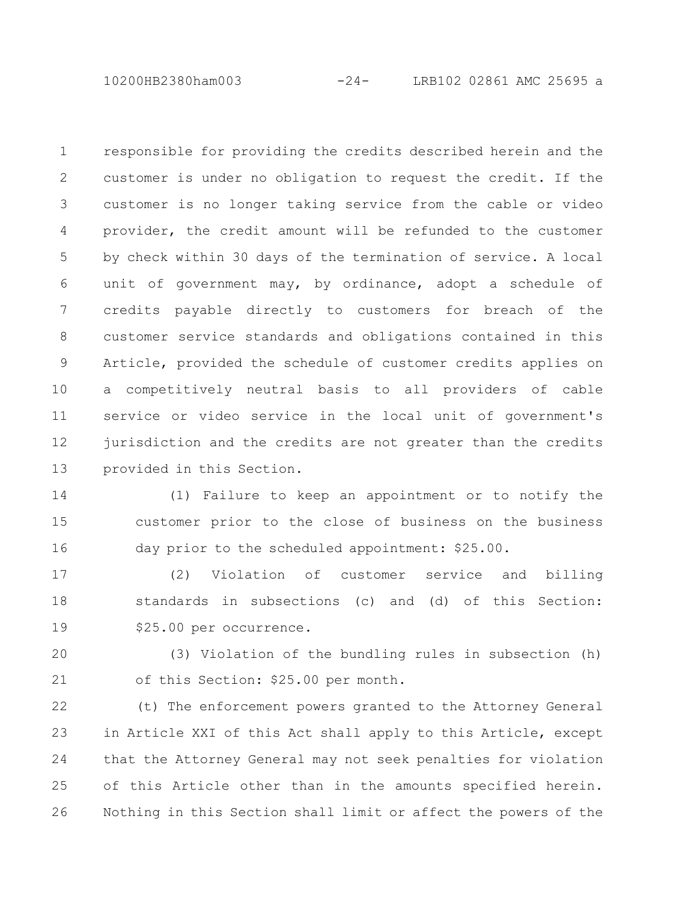10200HB2380ham003 -24- LRB102 02861 AMC 25695 a

responsible for providing the credits described herein and the customer is under no obligation to request the credit. If the customer is no longer taking service from the cable or video provider, the credit amount will be refunded to the customer by check within 30 days of the termination of service. A local unit of government may, by ordinance, adopt a schedule of credits payable directly to customers for breach of the customer service standards and obligations contained in this Article, provided the schedule of customer credits applies on a competitively neutral basis to all providers of cable service or video service in the local unit of government's jurisdiction and the credits are not greater than the credits provided in this Section. 1 2 3 4 5 6 7 8 9 10 11 12 13

(1) Failure to keep an appointment or to notify the customer prior to the close of business on the business day prior to the scheduled appointment: \$25.00. 14 15 16

(2) Violation of customer service and billing standards in subsections (c) and (d) of this Section: \$25.00 per occurrence. 17 18 19

(3) Violation of the bundling rules in subsection (h) of this Section: \$25.00 per month. 20 21

(t) The enforcement powers granted to the Attorney General in Article XXI of this Act shall apply to this Article, except that the Attorney General may not seek penalties for violation of this Article other than in the amounts specified herein. Nothing in this Section shall limit or affect the powers of the 22 23 24 25 26